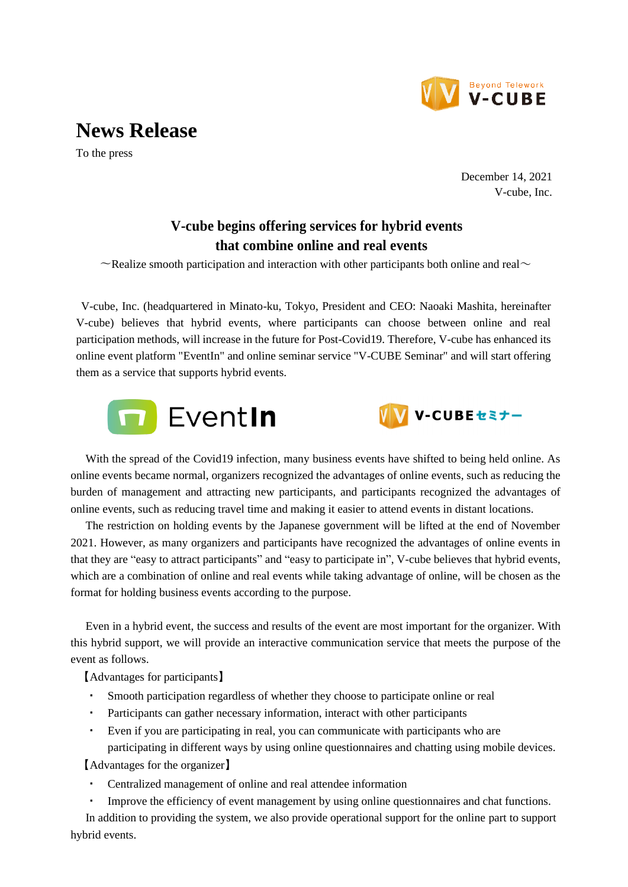

## **News Release**

To the press

December 14, 2021 V-cube, Inc.

## **V-cube begins offering services for hybrid events that combine online and real events**

 $\sim$ Realize smooth participation and interaction with other participants both online and real $\sim$ 

V-cube, Inc. (headquartered in Minato-ku, Tokyo, President and CEO: Naoaki Mashita, hereinafter V-cube) believes that hybrid events, where participants can choose between online and real participation methods, will increase in the future for Post-Covid19. Therefore, V-cube has enhanced its online event platform "EventIn" and online seminar service "V-CUBE Seminar" and will start offering them as a service that supports hybrid events.





With the spread of the Covid19 infection, many business events have shifted to being held online. As online events became normal, organizers recognized the advantages of online events, such as reducing the burden of management and attracting new participants, and participants recognized the advantages of online events, such as reducing travel time and making it easier to attend events in distant locations.

The restriction on holding events by the Japanese government will be lifted at the end of November 2021. However, as many organizers and participants have recognized the advantages of online events in that they are "easy to attract participants" and "easy to participate in", V-cube believes that hybrid events, which are a combination of online and real events while taking advantage of online, will be chosen as the format for holding business events according to the purpose.

Even in a hybrid event, the success and results of the event are most important for the organizer. With this hybrid support, we will provide an interactive communication service that meets the purpose of the event as follows.

【Advantages for participants】

- Smooth participation regardless of whether they choose to participate online or real
- ・ Participants can gather necessary information, interact with other participants
- ・ Even if you are participating in real, you can communicate with participants who are participating in different ways by using online questionnaires and chatting using mobile devices.

【Advantages for the organizer】

- Centralized management of online and real attendee information
- ・ Improve the efficiency of event management by using online questionnaires and chat functions.

In addition to providing the system, we also provide operational support for the online part to support hybrid events.